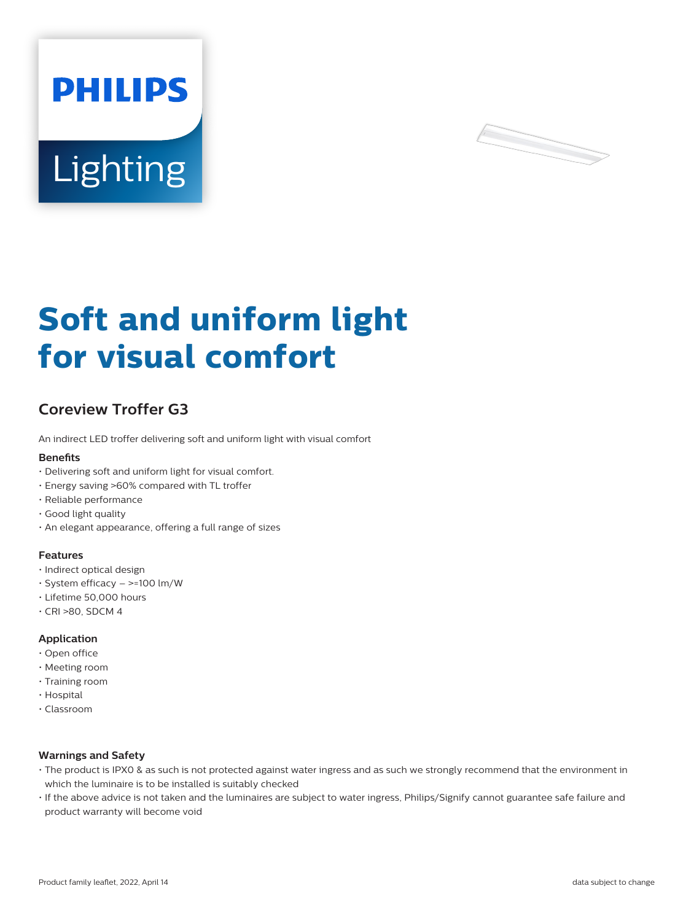



# **Soft and uniform light for visual comfort**

# **Coreview Troffer G3**

An indirect LED troffer delivering soft and uniform light with visual comfort

#### **Benefits**

- Delivering soft and uniform light for visual comfort.
- Energy saving >60% compared with TL troffer
- Reliable performance
- Good light quality
- An elegant appearance, offering a full range of sizes

#### **Features**

- Indirect optical design
- System efficacy >=100 lm/W
- Lifetime 50,000 hours
- $\cdot$  CRI >80, SDCM 4

### **Application**

- Open office
- Meeting room
- Training room
- Hospital
- Classroom

### **Warnings and Safety**

- The product is IPX0 & as such is not protected against water ingress and as such we strongly recommend that the environment in which the luminaire is to be installed is suitably checked
- If the above advice is not taken and the luminaires are subject to water ingress, Philips/Signify cannot guarantee safe failure and product warranty will become void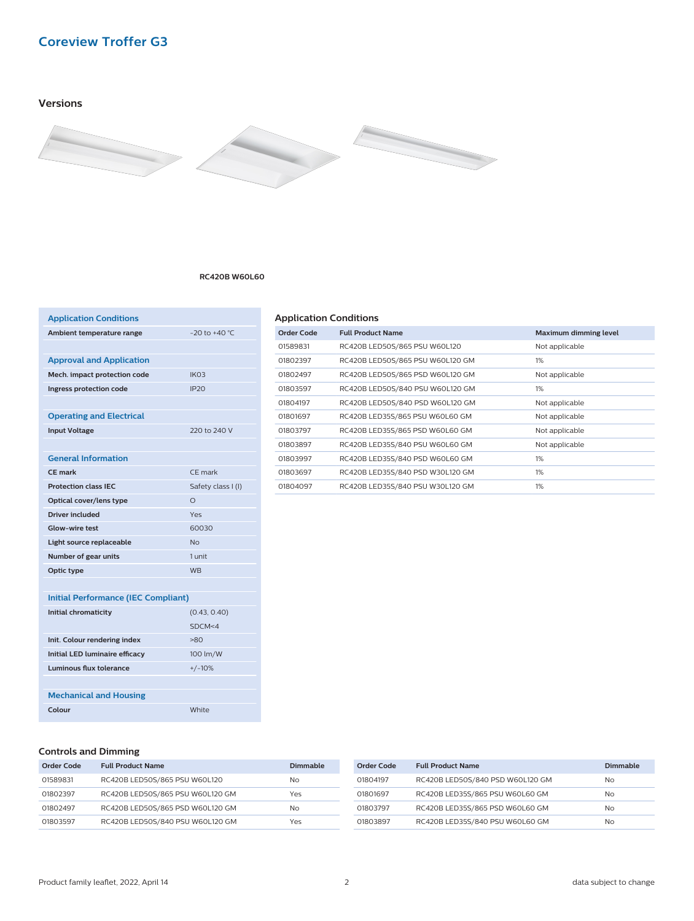# **Coreview Troffer G3**

# **Versions**



#### **RC420B W60L60**

| <b>Application Conditions</b>              |                    |
|--------------------------------------------|--------------------|
| Ambient temperature range                  | $-20$ to $+40$ °C  |
|                                            |                    |
| <b>Approval and Application</b>            |                    |
| Mech. impact protection code               | IK <sub>03</sub>   |
| Ingress protection code                    | IP20               |
|                                            |                    |
| <b>Operating and Electrical</b>            |                    |
| <b>Input Voltage</b>                       | 220 to 240 V       |
|                                            |                    |
| <b>General Information</b>                 |                    |
| <b>CF</b> mark                             | CE mark            |
| <b>Protection class IEC</b>                | Safety class I (I) |
| Optical cover/lens type                    | $\Omega$           |
| Driver included                            | Yes                |
| <b>Glow-wire test</b>                      | 60030              |
| Light source replaceable                   | No                 |
| Number of gear units                       | 1 unit             |
| Optic type                                 | <b>WB</b>          |
|                                            |                    |
| <b>Initial Performance (IEC Compliant)</b> |                    |
| <b>Initial chromaticity</b>                | (0.43, 0.40)       |
|                                            | SDCM<4             |
| Init. Colour rendering index               | $-80$              |
| <b>Initial LED luminaire efficacy</b>      | 100 lm/W           |
| Luminous flux tolerance                    | $+/-10%$           |
|                                            |                    |
| <b>Mechanical and Housing</b>              |                    |
| Colour                                     | White              |
|                                            |                    |

# **Application Conditions**

| Order Code | <b>Full Product Name</b>         | <b>Maximum dimming level</b> |
|------------|----------------------------------|------------------------------|
| 01589831   | RC420B LED50S/865 PSU W60L120    | Not applicable               |
| 01802397   | RC420B LED50S/865 PSU W60L120 GM | 1%                           |
| 01802497   | RC420B LED50S/865 PSD W60L120 GM | Not applicable               |
| 01803597   | RC420B LED50S/840 PSU W60L120 GM | 1%                           |
| 01804197   | RC420B LED50S/840 PSD W60L120 GM | Not applicable               |
| 01801697   | RC420B LED35S/865 PSU W60L60 GM  | Not applicable               |
| 01803797   | RC420B LED35S/865 PSD W60L60 GM  | Not applicable               |
| 01803897   | RC420B LED35S/840 PSU W60L60 GM  | Not applicable               |
| 01803997   | RC420B LED35S/840 PSD W60L60 GM  | 1%                           |
| 01803697   | RC420B LED35S/840 PSD W30L120 GM | 1%                           |
| 01804097   | RC420B LED35S/840 PSU W30L120 GM | 1%                           |
|            |                                  |                              |

# **Controls and Dimming**

| Order Code | <b>Full Product Name</b>         | Dimmable |
|------------|----------------------------------|----------|
| 01589831   | RC420B LED50S/865 PSU W60L120    | No       |
| 01802397   | RC420B LED50S/865 PSU W60L120 GM | Yes      |
| 01802497   | RC420B LED50S/865 PSD W60L120 GM | No       |
| 01803597   | RC420B LED50S/840 PSU W60L120 GM | Yes      |

| Order Code | <b>Full Product Name</b>         | Dimmable |
|------------|----------------------------------|----------|
| 01804197   | RC420B LED50S/840 PSD W60L120 GM | No.      |
| 01801697   | RC420B LED35S/865 PSU W60L60 GM  | No.      |
| 01803797   | RC420B LED35S/865 PSD W60L60 GM  | No.      |
| 01803897   | RC420B LED35S/840 PSU W60L60 GM  | No.      |